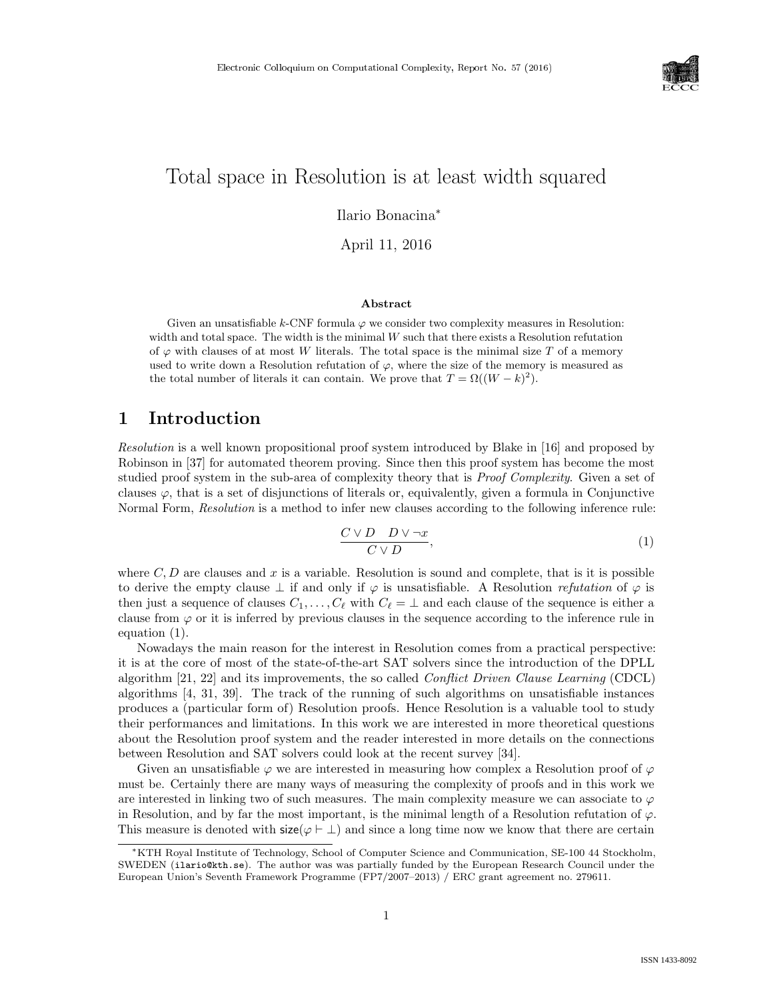

# Total space in Resolution is at least width squared

Ilario Bonacina<sup>∗</sup>

April 11, 2016

#### Abstract

Given an unsatisfiable k-CNF formula  $\varphi$  we consider two complexity measures in Resolution: width and total space. The width is the minimal  $W$  such that there exists a Resolution refutation of  $\varphi$  with clauses of at most W literals. The total space is the minimal size T of a memory used to write down a Resolution refutation of  $\varphi$ , where the size of the memory is measured as the total number of literals it can contain. We prove that  $T = \Omega((W - k)^2)$ .

### 1 Introduction

Resolution is a well known propositional proof system introduced by Blake in [16] and proposed by Robinson in [37] for automated theorem proving. Since then this proof system has become the most studied proof system in the sub-area of complexity theory that is *Proof Complexity*. Given a set of clauses  $\varphi$ , that is a set of disjunctions of literals or, equivalently, given a formula in Conjunctive Normal Form, *Resolution* is a method to infer new clauses according to the following inference rule:

$$
\frac{C \vee D \quad D \vee \neg x}{C \vee D},\tag{1}
$$

where  $C, D$  are clauses and x is a variable. Resolution is sound and complete, that is it is possible to derive the empty clause  $\perp$  if and only if  $\varphi$  is unsatisfiable. A Resolution *refutation* of  $\varphi$  is then just a sequence of clauses  $C_1, \ldots, C_\ell$  with  $C_\ell = \bot$  and each clause of the sequence is either a clause from  $\varphi$  or it is inferred by previous clauses in the sequence according to the inference rule in equation (1).

Nowadays the main reason for the interest in Resolution comes from a practical perspective: it is at the core of most of the state-of-the-art SAT solvers since the introduction of the DPLL algorithm  $[21, 22]$  and its improvements, the so called *Conflict Driven Clause Learning* (CDCL) algorithms [4, 31, 39]. The track of the running of such algorithms on unsatisfiable instances produces a (particular form of) Resolution proofs. Hence Resolution is a valuable tool to study their performances and limitations. In this work we are interested in more theoretical questions about the Resolution proof system and the reader interested in more details on the connections between Resolution and SAT solvers could look at the recent survey [34].

Given an unsatisfiable  $\varphi$  we are interested in measuring how complex a Resolution proof of  $\varphi$ must be. Certainly there are many ways of measuring the complexity of proofs and in this work we are interested in linking two of such measures. The main complexity measure we can associate to  $\varphi$ in Resolution, and by far the most important, is the minimal length of a Resolution refutation of  $\varphi$ . This measure is denoted with  $size(\varphi \vdash \bot)$  and since a long time now we know that there are certain

<sup>∗</sup>KTH Royal Institute of Technology, School of Computer Science and Communication, SE-100 44 Stockholm, SWEDEN (ilario@kth.se). The author was was partially funded by the European Research Council under the European Union's Seventh Framework Programme (FP7/2007–2013) / ERC grant agreement no. 279611.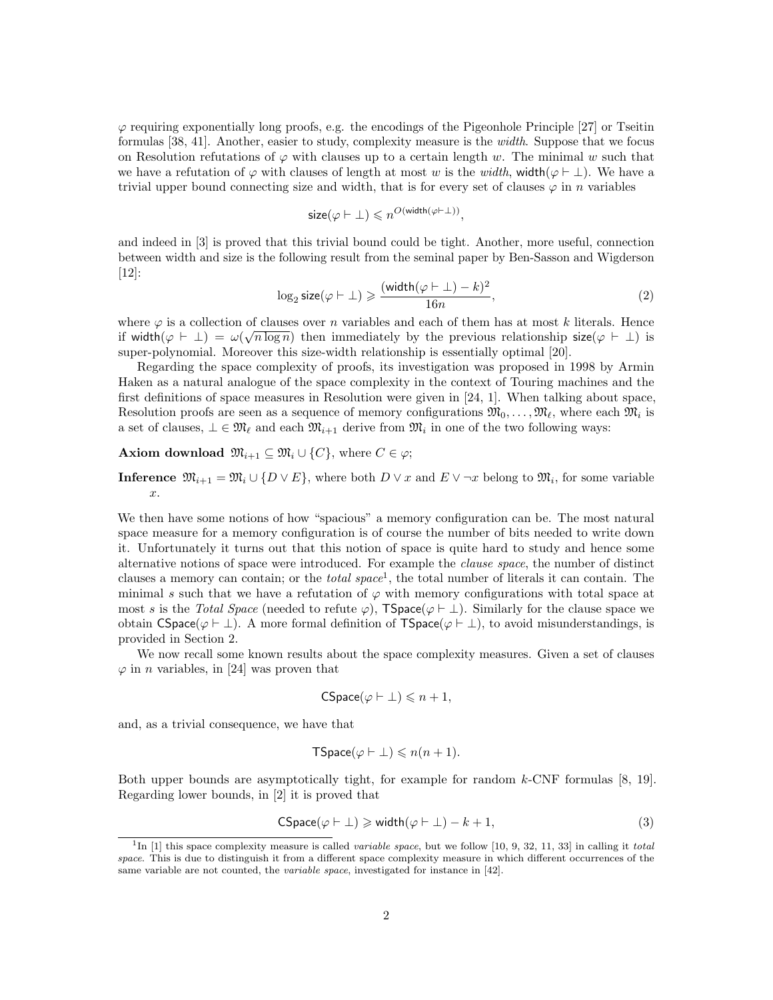$\varphi$  requiring exponentially long proofs, e.g. the encodings of the Pigeonhole Principle [27] or Tseitin formulas [38, 41]. Another, easier to study, complexity measure is the width. Suppose that we focus on Resolution refutations of  $\varphi$  with clauses up to a certain length w. The minimal w such that we have a refutation of  $\varphi$  with clauses of length at most w is the width, width( $\varphi \vdash \bot$ ). We have a trivial upper bound connecting size and width, that is for every set of clauses  $\varphi$  in n variables

$$
\text{size}(\varphi \vdash \bot) \leqslant n^{O(\text{width}(\varphi \vdash \bot))},
$$

and indeed in [3] is proved that this trivial bound could be tight. Another, more useful, connection between width and size is the following result from the seminal paper by Ben-Sasson and Wigderson [12]:

$$
\log_2 \text{size}(\varphi \vdash \bot) \geqslant \frac{(\text{width}(\varphi \vdash \bot) - k)^2}{16n},\tag{2}
$$

where  $\varphi$  is a collection of clauses over *n* variables and each of them has at most k literals. Hence if width $(\varphi \vdash \bot) = \omega(\sqrt{n \log n})$  then immediately by the previous relationship size $(\varphi \vdash \bot)$  is super-polynomial. Moreover this size-width relationship is essentially optimal [20].

Regarding the space complexity of proofs, its investigation was proposed in 1998 by Armin Haken as a natural analogue of the space complexity in the context of Touring machines and the first definitions of space measures in Resolution were given in [24, 1]. When talking about space, Resolution proofs are seen as a sequence of memory configurations  $\mathfrak{M}_0, \ldots, \mathfrak{M}_\ell$ , where each  $\mathfrak{M}_i$  is a set of clauses,  $\bot \in \mathfrak{M}_{\ell}$  and each  $\mathfrak{M}_{i+1}$  derive from  $\mathfrak{M}_i$  in one of the two following ways:

Axiom download  $\mathfrak{M}_{i+1} \subseteq \mathfrak{M}_i \cup \{C\}$ , where  $C \in \varphi$ ;

**Inference**  $\mathfrak{M}_{i+1} = \mathfrak{M}_i \cup \{D \vee E\}$ , where both  $D \vee x$  and  $E \vee \neg x$  belong to  $\mathfrak{M}_i$ , for some variable x.

We then have some notions of how "spacious" a memory configuration can be. The most natural space measure for a memory configuration is of course the number of bits needed to write down it. Unfortunately it turns out that this notion of space is quite hard to study and hence some alternative notions of space were introduced. For example the clause space, the number of distinct clauses a memory can contain; or the *total space*<sup>1</sup>, the total number of literals it can contain. The minimal s such that we have a refutation of  $\varphi$  with memory configurations with total space at most s is the Total Space (needed to refute  $\varphi$ ), TSpace( $\varphi \vdash \bot$ ). Similarly for the clause space we obtain CSpace( $\varphi \vdash \bot$ ). A more formal definition of TSpace( $\varphi \vdash \bot$ ), to avoid misunderstandings, is provided in Section 2.

We now recall some known results about the space complexity measures. Given a set of clauses  $\varphi$  in *n* variables, in [24] was proven that

$$
CSpace(\varphi \vdash \bot) \leqslant n+1,
$$

and, as a trivial consequence, we have that

$$
\mathsf{TSpace}(\varphi \vdash \bot) \leqslant n(n+1).
$$

Both upper bounds are asymptotically tight, for example for random  $k$ -CNF formulas  $[8, 19]$ . Regarding lower bounds, in [2] it is proved that

CSpace
$$
(\varphi \vdash \bot) \geq \text{width}(\varphi \vdash \bot) - k + 1,
$$
 (3)

<sup>&</sup>lt;sup>1</sup>In [1] this space complexity measure is called *variable space*, but we follow [10, 9, 32, 11, 33] in calling it *total* space. This is due to distinguish it from a different space complexity measure in which different occurrences of the same variable are not counted, the variable space, investigated for instance in [42].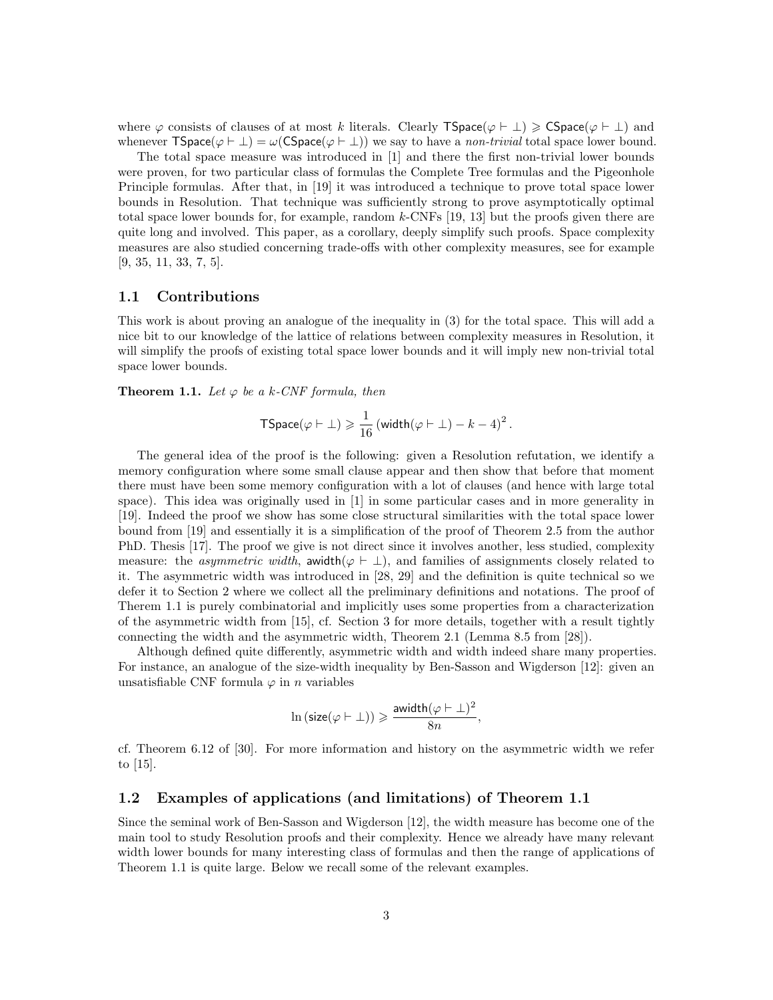where  $\varphi$  consists of clauses of at most k literals. Clearly TSpace( $\varphi \vdash \bot$ )  $\geqslant$  CSpace( $\varphi \vdash \bot$ ) and whenever  $\text{TSpace}(\varphi \vdash \bot) = \omega(\text{CSpace}(\varphi \vdash \bot))$  we say to have a non-trivial total space lower bound.

The total space measure was introduced in [1] and there the first non-trivial lower bounds were proven, for two particular class of formulas the Complete Tree formulas and the Pigeonhole Principle formulas. After that, in [19] it was introduced a technique to prove total space lower bounds in Resolution. That technique was sufficiently strong to prove asymptotically optimal total space lower bounds for, for example, random k-CNFs [19, 13] but the proofs given there are quite long and involved. This paper, as a corollary, deeply simplify such proofs. Space complexity measures are also studied concerning trade-offs with other complexity measures, see for example [9, 35, 11, 33, 7, 5].

#### 1.1 Contributions

This work is about proving an analogue of the inequality in (3) for the total space. This will add a nice bit to our knowledge of the lattice of relations between complexity measures in Resolution, it will simplify the proofs of existing total space lower bounds and it will imply new non-trivial total space lower bounds.

**Theorem 1.1.** Let  $\varphi$  be a k-CNF formula, then

$$
\mathsf{TSpace}(\varphi \vdash \bot) \geqslant \frac{1}{16} \left( \mathsf{width}(\varphi \vdash \bot) - k - 4 \right)^2.
$$

The general idea of the proof is the following: given a Resolution refutation, we identify a memory configuration where some small clause appear and then show that before that moment there must have been some memory configuration with a lot of clauses (and hence with large total space). This idea was originally used in [1] in some particular cases and in more generality in [19]. Indeed the proof we show has some close structural similarities with the total space lower bound from [19] and essentially it is a simplification of the proof of Theorem 2.5 from the author PhD. Thesis [17]. The proof we give is not direct since it involves another, less studied, complexity measure: the *asymmetric width*, awidth( $\varphi \vdash \bot$ ), and families of assignments closely related to it. The asymmetric width was introduced in [28, 29] and the definition is quite technical so we defer it to Section 2 where we collect all the preliminary definitions and notations. The proof of Therem 1.1 is purely combinatorial and implicitly uses some properties from a characterization of the asymmetric width from [15], cf. Section 3 for more details, together with a result tightly connecting the width and the asymmetric width, Theorem 2.1 (Lemma 8.5 from [28]).

Although defined quite differently, asymmetric width and width indeed share many properties. For instance, an analogue of the size-width inequality by Ben-Sasson and Wigderson [12]: given an unsatisfiable CNF formula  $\varphi$  in *n* variables

$$
\ln\left(\text{size}(\varphi\vdash \bot)\right)\geqslant \frac{\text{awidth}(\varphi\vdash \bot)^2}{8n},
$$

cf. Theorem 6.12 of [30]. For more information and history on the asymmetric width we refer to [15].

#### 1.2 Examples of applications (and limitations) of Theorem 1.1

Since the seminal work of Ben-Sasson and Wigderson [12], the width measure has become one of the main tool to study Resolution proofs and their complexity. Hence we already have many relevant width lower bounds for many interesting class of formulas and then the range of applications of Theorem 1.1 is quite large. Below we recall some of the relevant examples.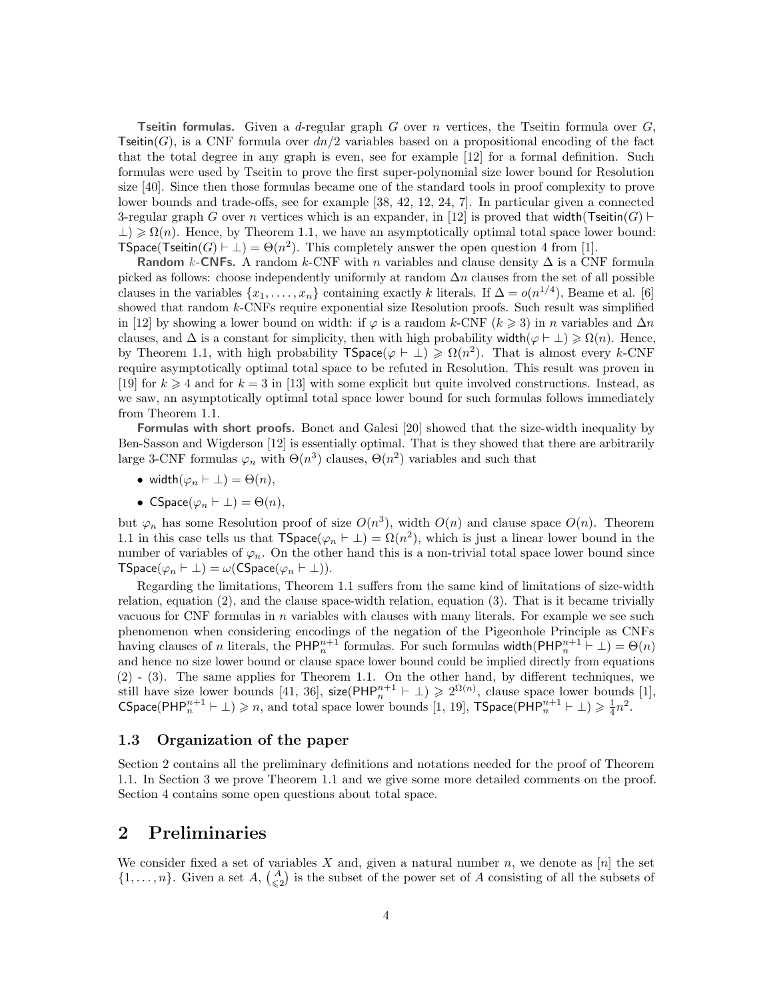**Tseitin formulas.** Given a d-regular graph G over n vertices, the Tseitin formula over  $G$ , Tseitin(G), is a CNF formula over  $dn/2$  variables based on a propositional encoding of the fact that the total degree in any graph is even, see for example [12] for a formal definition. Such formulas were used by Tseitin to prove the first super-polynomial size lower bound for Resolution size [40]. Since then those formulas became one of the standard tools in proof complexity to prove lower bounds and trade-offs, see for example [38, 42, 12, 24, 7]. In particular given a connected 3-regular graph G over n vertices which is an expander, in [12] is proved that width(Tseitin(G)  $\vdash$  $\perp$ )  $\geq \Omega(n)$ . Hence, by Theorem 1.1, we have an asymptotically optimal total space lower bound: **TSpace(Tseitin(G)**  $\vdash \bot$ ) =  $\Theta(n^2)$ . This completely answer the open question 4 from [1].

Random k-CNFs. A random k-CNF with n variables and clause density  $\Delta$  is a CNF formula picked as follows: choose independently uniformly at random  $\Delta n$  clauses from the set of all possible clauses in the variables  $\{x_1, \ldots, x_n\}$  containing exactly k literals. If  $\Delta = o(n^{1/4})$ , Beame et al. [6] showed that random k-CNFs require exponential size Resolution proofs. Such result was simplified in [12] by showing a lower bound on width: if  $\varphi$  is a random k-CNF ( $k \ge 3$ ) in n variables and  $\Delta n$ clauses, and  $\Delta$  is a constant for simplicity, then with high probability width( $\varphi \vdash \bot$ )  $\geqslant \Omega(n)$ . Hence, by Theorem 1.1, with high probability  $\text{TSpace}(\varphi \vdash \bot) \geqslant \Omega(n^2)$ . That is almost every k-CNF require asymptotically optimal total space to be refuted in Resolution. This result was proven in [19] for  $k \geq 4$  and for  $k = 3$  in [13] with some explicit but quite involved constructions. Instead, as we saw, an asymptotically optimal total space lower bound for such formulas follows immediately from Theorem 1.1.

Formulas with short proofs. Bonet and Galesi [20] showed that the size-width inequality by Ben-Sasson and Wigderson [12] is essentially optimal. That is they showed that there are arbitrarily large 3-CNF formulas  $\varphi_n$  with  $\Theta(n^3)$  clauses,  $\Theta(n^2)$  variables and such that

- width $(\varphi_n \vdash \bot) = \Theta(n),$
- CSpace( $\varphi_n \vdash \bot$ ) =  $\Theta(n)$ ,

but  $\varphi_n$  has some Resolution proof of size  $O(n^3)$ , width  $O(n)$  and clause space  $O(n)$ . Theorem 1.1 in this case tells us that  $\mathsf{TSpace}(\varphi_n \vdash \bot) = \Omega(n^2)$ , which is just a linear lower bound in the number of variables of  $\varphi_n$ . On the other hand this is a non-trivial total space lower bound since  $\mathsf{TSpace}(\varphi_n \vdash \bot) = \omega(\mathsf{CSpace}(\varphi_n \vdash \bot)).$ 

Regarding the limitations, Theorem 1.1 suffers from the same kind of limitations of size-width relation, equation (2), and the clause space-width relation, equation (3). That is it became trivially vacuous for CNF formulas in n variables with clauses with many literals. For example we see such phenomenon when considering encodings of the negation of the Pigeonhole Principle as CNFs having clauses of n literals, the PHP<sup>n+1</sup> formulas. For such formulas width(PHP<sup>n+1</sup>  $\vdash \bot$ ) =  $\Theta(n)$ and hence no size lower bound or clause space lower bound could be implied directly from equations (2) - (3). The same applies for Theorem 1.1. On the other hand, by different techniques, we still have size lower bounds [41, 36], size( $\mathsf{PHP}_n^{n+1} \vdash \bot$ )  $\geq 2^{\Omega(n)}$ , clause space lower bounds [1], CSpace(PHP<sup>n+1</sup>  $\vdash \bot$ )  $\geqslant n$ , and total space lower bounds [1, 19], TSpace(PHP<sup>n+1</sup>  $\vdash \bot$ )  $\geqslant \frac{1}{4}n^2$ .

#### 1.3 Organization of the paper

Section 2 contains all the preliminary definitions and notations needed for the proof of Theorem 1.1. In Section 3 we prove Theorem 1.1 and we give some more detailed comments on the proof. Section 4 contains some open questions about total space.

### 2 Preliminaries

We consider fixed a set of variables X and, given a natural number n, we denote as [n] the set  $\{1,\ldots,n\}$ . Given a set  $A, \begin{pmatrix} A \\ \leq 2 \end{pmatrix}$  is the subset of the power set of A consisting of all the subsets of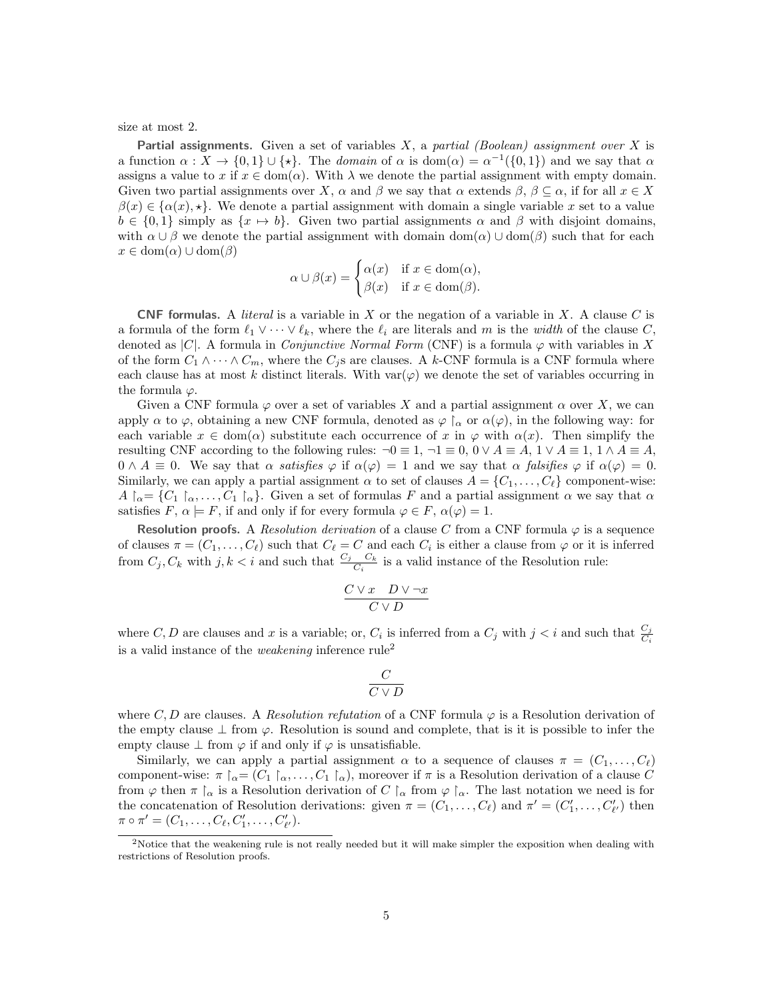size at most 2.

**Partial assignments.** Given a set of variables  $X$ , a partial (Boolean) assignment over  $X$  is a function  $\alpha: X \to \{0,1\} \cup \{\star\}.$  The domain of  $\alpha$  is dom $(\alpha) = \alpha^{-1}(\{0,1\})$  and we say that  $\alpha$ assigns a value to x if  $x \in \text{dom}(\alpha)$ . With  $\lambda$  we denote the partial assignment with empty domain. Given two partial assignments over X,  $\alpha$  and  $\beta$  we say that  $\alpha$  extends  $\beta$ ,  $\beta \subseteq \alpha$ , if for all  $x \in X$  $\beta(x) \in {\alpha(x), \star}.$  We denote a partial assignment with domain a single variable x set to a value  $b \in \{0,1\}$  simply as  $\{x \mapsto b\}$ . Given two partial assignments  $\alpha$  and  $\beta$  with disjoint domains, with  $\alpha \cup \beta$  we denote the partial assignment with domain dom( $\alpha$ )  $\cup$  dom( $\beta$ ) such that for each  $x \in \text{dom}(\alpha) \cup \text{dom}(\beta)$ 

$$
\alpha \cup \beta(x) = \begin{cases} \alpha(x) & \text{if } x \in \text{dom}(\alpha), \\ \beta(x) & \text{if } x \in \text{dom}(\beta). \end{cases}
$$

**CNF formulas.** A *literal* is a variable in X or the negation of a variable in X. A clause C is a formula of the form  $\ell_1 \vee \cdots \vee \ell_k$ , where the  $\ell_i$  are literals and m is the *width* of the clause C, denoted as |C|. A formula in *Conjunctive Normal Form* (CNF) is a formula  $\varphi$  with variables in X of the form  $C_1 \wedge \cdots \wedge C_m$ , where the  $C_i$ s are clauses. A k-CNF formula is a CNF formula where each clause has at most k distinct literals. With  $var(\varphi)$  we denote the set of variables occurring in the formula  $\varphi$ .

Given a CNF formula  $\varphi$  over a set of variables X and a partial assignment  $\alpha$  over X, we can apply  $\alpha$  to  $\varphi$ , obtaining a new CNF formula, denoted as  $\varphi \upharpoonright_{\alpha}$  or  $\alpha(\varphi)$ , in the following way: for each variable  $x \in \text{dom}(\alpha)$  substitute each occurrence of x in  $\varphi$  with  $\alpha(x)$ . Then simplify the resulting CNF according to the following rules:  $\neg 0 \equiv 1, \neg 1 \equiv 0, 0 \lor A \equiv A, 1 \lor A \equiv 1, 1 \land A \equiv A$ ,  $0 \wedge A \equiv 0$ . We say that  $\alpha$  satisfies  $\varphi$  if  $\alpha(\varphi) = 1$  and we say that  $\alpha$  falsifies  $\varphi$  if  $\alpha(\varphi) = 0$ . Similarly, we can apply a partial assignment  $\alpha$  to set of clauses  $A = \{C_1, \ldots, C_\ell\}$  component-wise:  $A \upharpoonright_{\alpha} = \{C_1 \upharpoonright_{\alpha}, \ldots, C_1 \upharpoonright_{\alpha}\}.$  Given a set of formulas F and a partial assignment  $\alpha$  we say that  $\alpha$ satisfies  $F, \alpha \models F$ , if and only if for every formula  $\varphi \in F$ ,  $\alpha(\varphi) = 1$ .

Resolution proofs. A Resolution derivation of a clause C from a CNF formula  $\varphi$  is a sequence of clauses  $\pi = (C_1, \ldots, C_\ell)$  such that  $C_\ell = C$  and each  $C_i$  is either a clause from  $\varphi$  or it is inferred from  $C_j, C_k$  with  $j, k < i$  and such that  $\frac{C_j - C_k}{C_i}$  is a valid instance of the Resolution rule:

$$
\frac{C \vee x \quad D \vee \neg x}{C \vee D}
$$

where C, D are clauses and x is a variable; or,  $C_i$  is inferred from a  $C_j$  with  $j < i$  and such that  $\frac{C_j}{C_i}$ is a valid instance of the *weakening* inference  $rule<sup>2</sup>$ 

$$
\frac{C}{C\vee D}
$$

where C, D are clauses. A Resolution refutation of a CNF formula  $\varphi$  is a Resolution derivation of the empty clause  $\perp$  from  $\varphi$ . Resolution is sound and complete, that is it is possible to infer the empty clause  $\perp$  from  $\varphi$  if and only if  $\varphi$  is unsatisfiable.

Similarly, we can apply a partial assignment  $\alpha$  to a sequence of clauses  $\pi = (C_1, \ldots, C_\ell)$ component-wise:  $\pi \upharpoonright_{\alpha} = (C_1 \upharpoonright_{\alpha}, \ldots, C_1 \upharpoonright_{\alpha})$ , moreover if  $\pi$  is a Resolution derivation of a clause C from  $\varphi$  then  $\pi \upharpoonright_{\alpha}$  is a Resolution derivation of C  $\upharpoonright_{\alpha}$  from  $\varphi \upharpoonright_{\alpha}$ . The last notation we need is for the concatenation of Resolution derivations: given  $\pi = (C_1, \ldots, C_\ell)$  and  $\pi' = (C'_1, \ldots, C'_{\ell'})$  then  $\pi \circ \pi' = (C_1, \ldots, C_{\ell}, C'_1, \ldots, C'_{\ell'})$ .

<sup>&</sup>lt;sup>2</sup>Notice that the weakening rule is not really needed but it will make simpler the exposition when dealing with restrictions of Resolution proofs.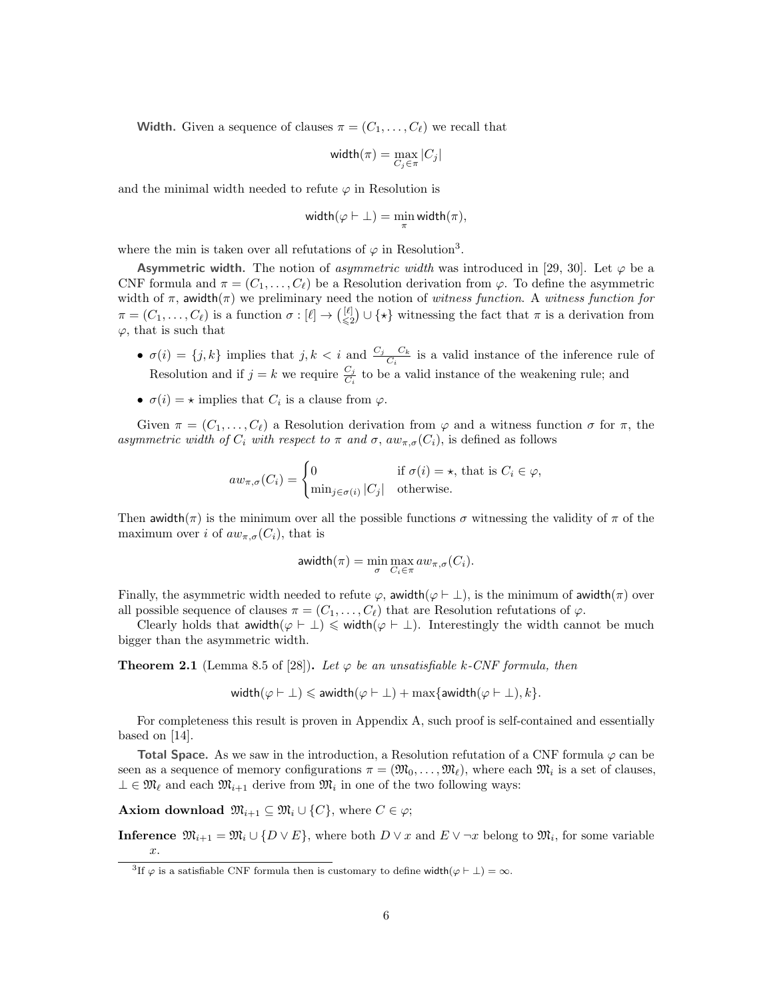**Width.** Given a sequence of clauses  $\pi = (C_1, \ldots, C_\ell)$  we recall that

$$
\textsf{width}(\pi) = \max_{C_j \in \pi} |C_j|
$$

and the minimal width needed to refute  $\varphi$  in Resolution is

$$
\text{width}(\varphi \vdash \bot) = \min_{\pi} \text{width}(\pi),
$$

where the min is taken over all refutations of  $\varphi$  in Resolution<sup>3</sup>.

**Asymmetric width.** The notion of *asymmetric width* was introduced in [29, 30]. Let  $\varphi$  be a CNF formula and  $\pi = (C_1, \ldots, C_\ell)$  be a Resolution derivation from  $\varphi$ . To define the asymmetric width of  $\pi$ , awidth( $\pi$ ) we preliminary need the notion of witness function. A witness function for  $\pi = (C_1, \ldots, C_\ell)$  is a function  $\sigma : [\ell] \to {\ell \choose \leq 2} \cup {\star}$  witnessing the fact that  $\pi$  is a derivation from  $\varphi$ , that is such that

- $\sigma(i) = \{j, k\}$  implies that  $j, k < i$  and  $\frac{C_j C_k}{C_i}$  is a valid instance of the inference rule of Resolution and if  $j = k$  we require  $\frac{C_j}{C_i}$  to be a valid instance of the weakening rule; and
- $\sigma(i) = \star$  implies that  $C_i$  is a clause from  $\varphi$ .

Given  $\pi = (C_1, \ldots, C_\ell)$  a Resolution derivation from  $\varphi$  and a witness function  $\sigma$  for  $\pi$ , the asymmetric width of  $C_i$  with respect to  $\pi$  and  $\sigma$ ,  $aw_{\pi,\sigma}(C_i)$ , is defined as follows

$$
aw_{\pi,\sigma}(C_i) = \begin{cases} 0 & \text{if } \sigma(i) = \star, \text{ that is } C_i \in \varphi, \\ \min_{j \in \sigma(i)} |C_j| & \text{otherwise.} \end{cases}
$$

Then awidth( $\pi$ ) is the minimum over all the possible functions  $\sigma$  witnessing the validity of  $\pi$  of the maximum over i of  $aw_{\pi,\sigma}(C_i)$ , that is

$$
\mathsf{awidth}(\pi) = \min_{\sigma} \max_{C_i \in \pi} a w_{\pi,\sigma}(C_i).
$$

Finally, the asymmetric width needed to refute  $\varphi$ , awidth( $\varphi \vdash \bot$ ), is the minimum of awidth( $\pi$ ) over all possible sequence of clauses  $\pi = (C_1, \ldots, C_\ell)$  that are Resolution refutations of  $\varphi$ .

Clearly holds that awidth $(\varphi \vdash \bot) \leq \text{width}(\varphi \vdash \bot)$ . Interestingly the width cannot be much bigger than the asymmetric width.

**Theorem 2.1** (Lemma 8.5 of [28]). Let  $\varphi$  be an unsatisfiable k-CNF formula, then

$$
\text{width}(\varphi \vdash \bot) \leqslant \text{awaith}(\varphi \vdash \bot) + \max\{\text{awaith}(\varphi \vdash \bot), k\}.
$$

For completeness this result is proven in Appendix A, such proof is self-contained and essentially based on [14].

**Total Space.** As we saw in the introduction, a Resolution refutation of a CNF formula  $\varphi$  can be seen as a sequence of memory configurations  $\pi = (\mathfrak{M}_0, \ldots, \mathfrak{M}_\ell)$ , where each  $\mathfrak{M}_i$  is a set of clauses,  $\bot \in \mathfrak{M}_{\ell}$  and each  $\mathfrak{M}_{i+1}$  derive from  $\mathfrak{M}_{i}$  in one of the two following ways:

**Axiom download**  $\mathfrak{M}_{i+1} \subseteq \mathfrak{M}_i \cup \{C\}$ , where  $C \in \varphi$ ;

**Inference**  $\mathfrak{M}_{i+1} = \mathfrak{M}_i \cup \{D \vee E\}$ , where both  $D \vee x$  and  $E \vee \neg x$  belong to  $\mathfrak{M}_i$ , for some variable x.

<sup>&</sup>lt;sup>3</sup>If  $\varphi$  is a satisfiable CNF formula then is customary to define width $(\varphi \vdash \bot) = \infty$ .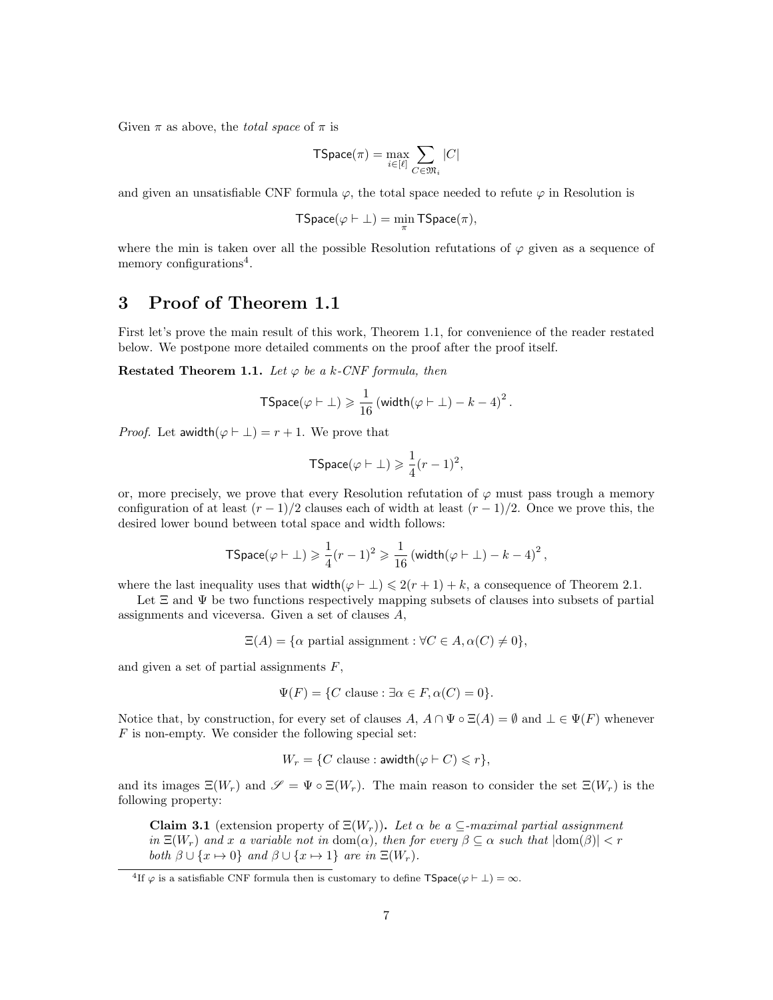Given  $\pi$  as above, the *total space* of  $\pi$  is

$$
\mathsf{TSpace}(\pi) = \max_{i \in [\ell]} \sum_{C \in \mathfrak{M}_i} |C|
$$

and given an unsatisfiable CNF formula  $\varphi$ , the total space needed to refute  $\varphi$  in Resolution is

$$
\mathsf{TSpace}(\varphi \vdash \bot) = \min_{\pi} \mathsf{TSpace}(\pi),
$$

where the min is taken over all the possible Resolution refutations of  $\varphi$  given as a sequence of memory configurations<sup>4</sup>.

### 3 Proof of Theorem 1.1

First let's prove the main result of this work, Theorem 1.1, for convenience of the reader restated below. We postpone more detailed comments on the proof after the proof itself.

Restated Theorem 1.1. Let  $\varphi$  be a k-CNF formula, then

$$
\mathsf{TSpace}(\varphi \vdash \bot) \geqslant \frac{1}{16} \left( \mathsf{width}(\varphi \vdash \bot) - k - 4 \right)^2.
$$

*Proof.* Let awidth $(\varphi \vdash \bot) = r + 1$ . We prove that

$$
\mathsf{TSpace}(\varphi \vdash \bot) \geqslant \frac{1}{4}(r-1)^2,
$$

or, more precisely, we prove that every Resolution refutation of  $\varphi$  must pass trough a memory configuration of at least  $(r-1)/2$  clauses each of width at least  $(r-1)/2$ . Once we prove this, the desired lower bound between total space and width follows:

$$
\mathsf{TSpace}(\varphi \vdash \bot) \geqslant \frac{1}{4}(r-1)^2 \geqslant \frac{1}{16} \left( \mathsf{width}(\varphi \vdash \bot) - k - 4 \right)^2,
$$

where the last inequality uses that  $\text{width}(\varphi \vdash \bot) \leqslant 2(r + 1) + k$ , a consequence of Theorem 2.1.

Let  $\Xi$  and  $\Psi$  be two functions respectively mapping subsets of clauses into subsets of partial assignments and viceversa. Given a set of clauses A,

 $\Xi(A) = {\alpha \text{ partial assignment}} : \forall C \in A, \alpha(C) \neq 0,$ 

and given a set of partial assignments  $F$ ,

$$
\Psi(F) = \{ C \text{ clause} : \exists \alpha \in F, \alpha(C) = 0 \}.
$$

Notice that, by construction, for every set of clauses  $A, A \cap \Psi \circ \Xi(A) = \emptyset$  and  $\bot \in \Psi(F)$  whenever  $F$  is non-empty. We consider the following special set:

$$
W_r = \{ C \text{ clause} : \text{awidth}(\varphi \vdash C) \leqslant r \},
$$

and its images  $\Xi(W_r)$  and  $\mathscr{S} = \Psi \circ \Xi(W_r)$ . The main reason to consider the set  $\Xi(W_r)$  is the following property:

Claim 3.1 (extension property of  $\Xi(W_r)$ ). Let  $\alpha$  be a  $\subseteq$ -maximal partial assignment in  $\Xi(W_r)$  and x a variable not in  $dom(\alpha)$ , then for every  $\beta \subseteq \alpha$  such that  $|dom(\beta)| < r$ both  $\beta \cup \{x \mapsto 0\}$  and  $\beta \cup \{x \mapsto 1\}$  are in  $\Xi(W_r)$ .

<sup>&</sup>lt;sup>4</sup>If  $\varphi$  is a satisfiable CNF formula then is customary to define  $\mathsf{TSpace}(\varphi \vdash \bot) = \infty$ .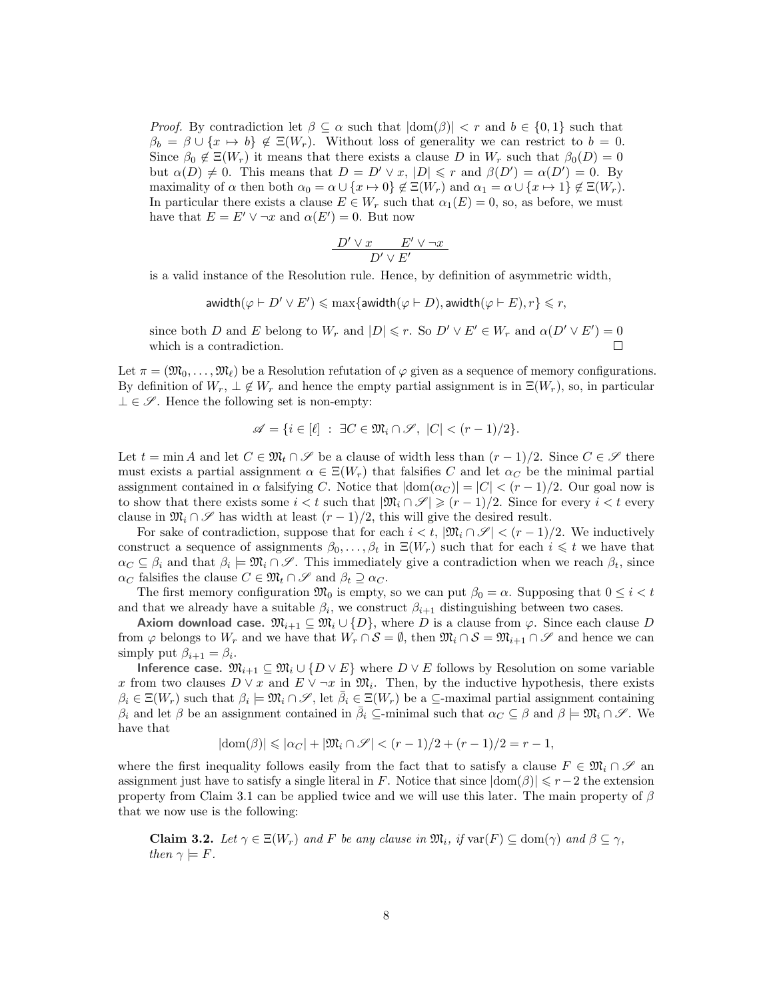*Proof.* By contradiction let  $\beta \subseteq \alpha$  such that  $|\text{dom}(\beta)| < r$  and  $b \in \{0,1\}$  such that  $\beta_b = \beta \cup \{x \mapsto b\} \notin \Xi(W_r)$ . Without loss of generality we can restrict to  $b = 0$ . Since  $\beta_0 \notin \Xi(W_r)$  it means that there exists a clause D in  $W_r$  such that  $\beta_0(D) = 0$ but  $\alpha(D) \neq 0$ . This means that  $D = D' \vee x$ ,  $|D| \leq r$  and  $\beta(D') = \alpha(D') = 0$ . By maximality of  $\alpha$  then both  $\alpha_0 = \alpha \cup \{x \mapsto 0\} \notin \Xi(W_r)$  and  $\alpha_1 = \alpha \cup \{x \mapsto 1\} \notin \Xi(W_r)$ . In particular there exists a clause  $E \in W_r$  such that  $\alpha_1(E) = 0$ , so, as before, we must have that  $E = E' \vee \neg x$  and  $\alpha(E') = 0$ . But now

$$
\frac{D'\vee x \qquad E'\vee \neg x}{D'\vee E'}
$$

is a valid instance of the Resolution rule. Hence, by definition of asymmetric width,

awidth $(\varphi \vdash D' \lor E') \leqslant \max\{\text{awidth}(\varphi \vdash D), \text{awidth}(\varphi \vdash E), r\} \leqslant r,$ 

since both D and E belong to  $W_r$  and  $|D| \leq r$ . So  $D' \vee E' \in W_r$  and  $\alpha(D' \vee E') = 0$ which is a contradiction.  $\Box$ 

Let  $\pi = (\mathfrak{M}_0, \ldots, \mathfrak{M}_\ell)$  be a Resolution refutation of  $\varphi$  given as a sequence of memory configurations. By definition of  $W_r$ ,  $\perp \notin W_r$  and hence the empty partial assignment is in  $\Xi(W_r)$ , so, in particular  $\perp \in \mathscr{S}$ . Hence the following set is non-empty:

$$
\mathscr{A} = \{ i \in [\ell] \; : \; \exists C \in \mathfrak{M}_i \cap \mathscr{S}, \; |C| < (r-1)/2 \}.
$$

Let  $t = \min A$  and let  $C \in \mathfrak{M}_t \cap \mathscr{S}$  be a clause of width less than  $(r-1)/2$ . Since  $C \in \mathscr{S}$  there must exists a partial assignment  $\alpha \in \Xi(W_r)$  that falsifies C and let  $\alpha_C$  be the minimal partial assignment contained in  $\alpha$  falsifying C. Notice that  $|\text{dom}(\alpha_C)| = |C| < (r-1)/2$ . Our goal now is to show that there exists some  $i < t$  such that  $|\mathfrak{M}_i \cap \mathcal{S}| \geqslant (r-1)/2$ . Since for every  $i < t$  every clause in  $\mathfrak{M}_i \cap \mathscr{S}$  has width at least  $(r-1)/2$ , this will give the desired result.

For sake of contradiction, suppose that for each  $i < t$ ,  $|\mathfrak{M}_i \cap \mathscr{S}| < (r-1)/2$ . We inductively construct a sequence of assignments  $\beta_0, \ldots, \beta_t$  in  $\Xi(W_r)$  such that for each  $i \leq t$  we have that  $\alpha_C \subseteq \beta_i$  and that  $\beta_i \models \mathfrak{M}_i \cap \mathscr{S}$ . This immediately give a contradiction when we reach  $\beta_t$ , since  $\alpha_C$  falsifies the clause  $C \in \mathfrak{M}_t \cap \mathscr{S}$  and  $\beta_t \supseteq \alpha_C$ .

The first memory configuration  $\mathfrak{M}_0$  is empty, so we can put  $\beta_0 = \alpha$ . Supposing that  $0 \leq i < t$ and that we already have a suitable  $\beta_i$ , we construct  $\beta_{i+1}$  distinguishing between two cases.

Axiom download case.  $\mathfrak{M}_{i+1} \subseteq \mathfrak{M}_i \cup \{D\}$ , where D is a clause from  $\varphi$ . Since each clause D from  $\varphi$  belongs to  $W_r$  and we have that  $W_r \cap S = \emptyset$ , then  $\mathfrak{M}_i \cap S = \mathfrak{M}_{i+1} \cap S$  and hence we can simply put  $\beta_{i+1} = \beta_i$ .

Inference case.  $\mathfrak{M}_{i+1} \subseteq \mathfrak{M}_i \cup \{D \vee E\}$  where  $D \vee E$  follows by Resolution on some variable x from two clauses  $D \vee x$  and  $E \vee \neg x$  in  $\mathfrak{M}_i$ . Then, by the inductive hypothesis, there exists  $\beta_i \in \Xi(W_r)$  such that  $\beta_i \models \mathfrak{M}_i \cap \mathscr{S}$ , let  $\bar{\beta}_i \in \Xi(W_r)$  be a  $\subseteq$ -maximal partial assignment containing  $\beta_i$  and let  $\beta$  be an assignment contained in  $\bar{\beta}_i \subseteq$ -minimal such that  $\alpha_C \subseteq \beta$  and  $\beta \models \mathfrak{M}_i \cap \mathscr{S}$ . We have that

$$
|\text{dom}(\beta)| \leq | \alpha_C | + | \mathfrak{M}_i \cap \mathcal{S} | < (r-1)/2 + (r-1)/2 = r-1,
$$

where the first inequality follows easily from the fact that to satisfy a clause  $F \in \mathfrak{M}_i \cap \mathscr{S}$  and assignment just have to satisfy a single literal in F. Notice that since  $|dom(\beta)| \leq r-2$  the extension property from Claim 3.1 can be applied twice and we will use this later. The main property of  $\beta$ that we now use is the following:

**Claim 3.2.** Let  $\gamma \in \Xi(W_r)$  and F be any clause in  $\mathfrak{M}_i$ , if  $\text{var}(F) \subseteq \text{dom}(\gamma)$  and  $\beta \subseteq \gamma$ , then  $\gamma \models F$ .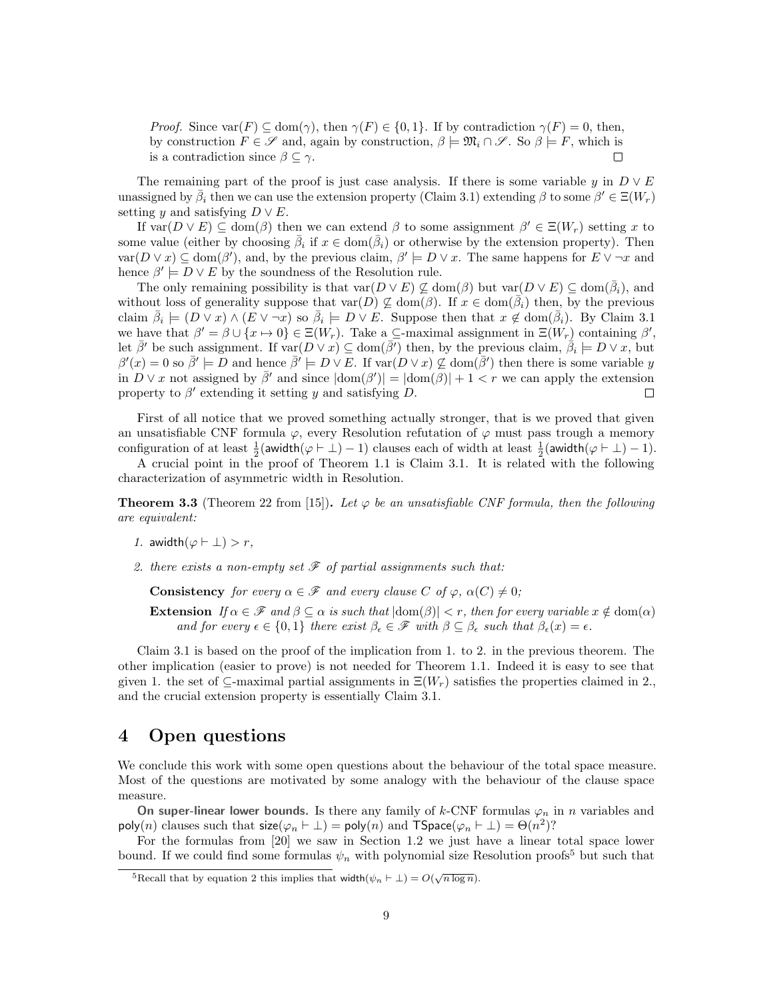*Proof.* Since  $\text{var}(F) \subseteq \text{dom}(\gamma)$ , then  $\gamma(F) \in \{0, 1\}$ . If by contradiction  $\gamma(F) = 0$ , then, by construction  $F \in \mathscr{S}$  and, again by construction,  $\beta \models \mathfrak{M}_i \cap \mathscr{S}$ . So  $\beta \models F$ , which is is a contradiction since  $\beta \subseteq \gamma$ .  $\Box$ 

The remaining part of the proof is just case analysis. If there is some variable y in  $D \vee E$ unassigned by  $\bar{\beta}_i$  then we can use the extension property (Claim 3.1) extending  $\beta$  to some  $\beta' \in \Xi(W_r)$ setting y and satisfying  $D \vee E$ .

If  $var(D \vee E) \subseteq dom(\beta)$  then we can extend  $\beta$  to some assignment  $\beta' \in \Xi(W_r)$  setting x to some value (either by choosing  $\bar{\beta}_i$  if  $x \in \text{dom}(\bar{\beta}_i)$  or otherwise by the extension property). Then  $var(D \vee x) \subseteq dom(\beta')$ , and, by the previous claim,  $\beta' \models D \vee x$ . The same happens for  $E \vee \neg x$  and hence  $\beta' \models D \lor E$  by the soundness of the Resolution rule.

The only remaining possibility is that  $var(D \vee E) \nsubseteq dom(\beta)$  but  $var(D \vee E) \subseteq dom(\overline{\beta}_i)$ , and without loss of generality suppose that  $var(D) \nsubseteq dom(\beta)$ . If  $x \in dom(\overline{\beta}_i)$  then, by the previous claim  $\bar{\beta}_i \models (D \vee x) \wedge (\bar{E} \vee \neg x)$  so  $\bar{\beta}_i \models D \vee \bar{E}$ . Suppose then that  $x \notin \text{dom}(\bar{\beta}_i)$ . By Claim 3.1 we have that  $\beta' = \beta \cup \{x \mapsto 0\} \in \Xi(W_r)$ . Take a  $\subseteq$ -maximal assignment in  $\Xi(W_r)$  containing  $\beta'$ , let  $\bar{\beta}'$  be such assignment. If  $\text{var}(D \vee x) \subseteq \text{dom}(\bar{\beta}')$  then, by the previous claim,  $\dot{\bar{\beta}}_i \models D \vee x$ , but  $\beta'(x) = 0$  so  $\bar{\beta}' \models D$  and hence  $\bar{\beta}' \models D \lor E$ . If  $\text{var}(D \lor x) \not\subseteq \text{dom}(\bar{\beta}')$  then there is some variable y in  $D \vee x$  not assigned by  $\bar{\beta}'$  and since  $|\text{dom}(\beta')| = |\text{dom}(\beta)| + 1 < r$  we can apply the extension property to  $\beta'$  extending it setting y and satisfying D.  $\sqrt{2}$ 

First of all notice that we proved something actually stronger, that is we proved that given an unsatisfiable CNF formula  $\varphi$ , every Resolution refutation of  $\varphi$  must pass trough a memory configuration of at least  $\frac{1}{2}$ (awidth( $\varphi \vdash \bot$ ) - 1) clauses each of width at least  $\frac{1}{2}$ (awidth( $\varphi \vdash \bot$ ) - 1).

A crucial point in the proof of Theorem 1.1 is Claim 3.1. It is related with the following characterization of asymmetric width in Resolution.

**Theorem 3.3** (Theorem 22 from [15]). Let  $\varphi$  be an unsatisfiable CNF formula, then the following are equivalent:

- 1. awidth $(\varphi \vdash \bot) > r$ ,
- 2. there exists a non-empty set  $\mathscr F$  of partial assignments such that:

**Consistency** for every  $\alpha \in \mathcal{F}$  and every clause C of  $\varphi$ ,  $\alpha(C) \neq 0$ ;

Extension If  $\alpha \in \mathscr{F}$  and  $\beta \subseteq \alpha$  is such that  $|\text{dom}(\beta)| < r$ , then for every variable  $x \notin \text{dom}(\alpha)$ and for every  $\epsilon \in \{0,1\}$  there exist  $\beta_{\epsilon} \in \mathscr{F}$  with  $\beta \subseteq \beta_{\epsilon}$  such that  $\beta_{\epsilon}(x) = \epsilon$ .

Claim 3.1 is based on the proof of the implication from 1. to 2. in the previous theorem. The other implication (easier to prove) is not needed for Theorem 1.1. Indeed it is easy to see that given 1. the set of  $\subseteq$ -maximal partial assignments in  $\Xi(W_r)$  satisfies the properties claimed in 2. and the crucial extension property is essentially Claim 3.1.

### 4 Open questions

We conclude this work with some open questions about the behaviour of the total space measure. Most of the questions are motivated by some analogy with the behaviour of the clause space measure.

On super-linear lower bounds. Is there any family of k-CNF formulas  $\varphi_n$  in n variables and poly $(n)$  clauses such that  $\mathsf{size}(\varphi_n \vdash \bot) = \mathsf{poly}(n)$  and  $\mathsf{TSpace}(\varphi_n \vdash \bot) = \Theta(n^2)?$ 

For the formulas from [20] we saw in Section 1.2 we just have a linear total space lower bound. If we could find some formulas  $\psi_n$  with polynomial size Resolution proofs<sup>5</sup> but such that

<sup>&</sup>lt;sup>5</sup>Recall that by equation 2 this implies that width $(\psi_n \vdash \bot) = O(\sqrt{n \log n}).$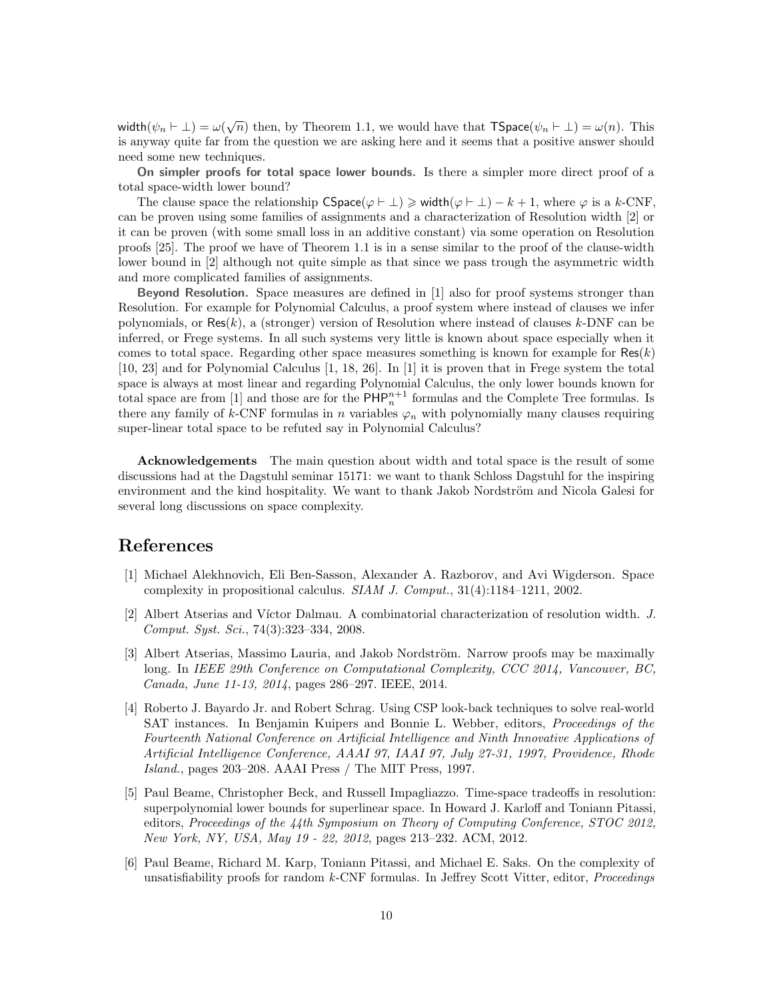width $(\psi_n \vdash \bot) = \omega(\sqrt{n})$  then, by Theorem 1.1, we would have that  $\mathsf{TSpace}(\psi_n \vdash \bot) = \omega(n)$ . This is anyway quite far from the question we are asking here and it seems that a positive answer should need some new techniques.

On simpler proofs for total space lower bounds. Is there a simpler more direct proof of a total space-width lower bound?

The clause space the relationship  $CSpace(\varphi \vdash \bot) \geq width(\varphi \vdash \bot) - k + 1$ , where  $\varphi$  is a k-CNF, can be proven using some families of assignments and a characterization of Resolution width [2] or it can be proven (with some small loss in an additive constant) via some operation on Resolution proofs [25]. The proof we have of Theorem 1.1 is in a sense similar to the proof of the clause-width lower bound in [2] although not quite simple as that since we pass trough the asymmetric width and more complicated families of assignments.

Beyond Resolution. Space measures are defined in [1] also for proof systems stronger than Resolution. For example for Polynomial Calculus, a proof system where instead of clauses we infer polynomials, or Res $(k)$ , a (stronger) version of Resolution where instead of clauses k-DNF can be inferred, or Frege systems. In all such systems very little is known about space especially when it comes to total space. Regarding other space measures something is known for example for  $\text{Res}(k)$ [10, 23] and for Polynomial Calculus [1, 18, 26]. In [1] it is proven that in Frege system the total space is always at most linear and regarding Polynomial Calculus, the only lower bounds known for total space are from [1] and those are for the  $\mathsf{PHP}_n^{n+1}$  formulas and the Complete Tree formulas. Is there any family of k-CNF formulas in n variables  $\varphi_n$  with polynomially many clauses requiring super-linear total space to be refuted say in Polynomial Calculus?

Acknowledgements The main question about width and total space is the result of some discussions had at the Dagstuhl seminar 15171: we want to thank Schloss Dagstuhl for the inspiring environment and the kind hospitality. We want to thank Jakob Nordström and Nicola Galesi for several long discussions on space complexity.

### References

- [1] Michael Alekhnovich, Eli Ben-Sasson, Alexander A. Razborov, and Avi Wigderson. Space complexity in propositional calculus. SIAM J. Comput., 31(4):1184–1211, 2002.
- [2] Albert Atserias and Víctor Dalmau. A combinatorial characterization of resolution width. J. Comput. Syst. Sci., 74(3):323–334, 2008.
- [3] Albert Atserias, Massimo Lauria, and Jakob Nordström. Narrow proofs may be maximally long. In IEEE 29th Conference on Computational Complexity, CCC 2014, Vancouver, BC, Canada, June 11-13, 2014, pages 286–297. IEEE, 2014.
- [4] Roberto J. Bayardo Jr. and Robert Schrag. Using CSP look-back techniques to solve real-world SAT instances. In Benjamin Kuipers and Bonnie L. Webber, editors, Proceedings of the Fourteenth National Conference on Artificial Intelligence and Ninth Innovative Applications of Artificial Intelligence Conference, AAAI 97, IAAI 97, July 27-31, 1997, Providence, Rhode Island., pages 203–208. AAAI Press / The MIT Press, 1997.
- [5] Paul Beame, Christopher Beck, and Russell Impagliazzo. Time-space tradeoffs in resolution: superpolynomial lower bounds for superlinear space. In Howard J. Karloff and Toniann Pitassi, editors, Proceedings of the 44th Symposium on Theory of Computing Conference, STOC 2012, New York, NY, USA, May 19 - 22, 2012, pages 213–232. ACM, 2012.
- [6] Paul Beame, Richard M. Karp, Toniann Pitassi, and Michael E. Saks. On the complexity of unsatisfiability proofs for random k-CNF formulas. In Jeffrey Scott Vitter, editor, Proceedings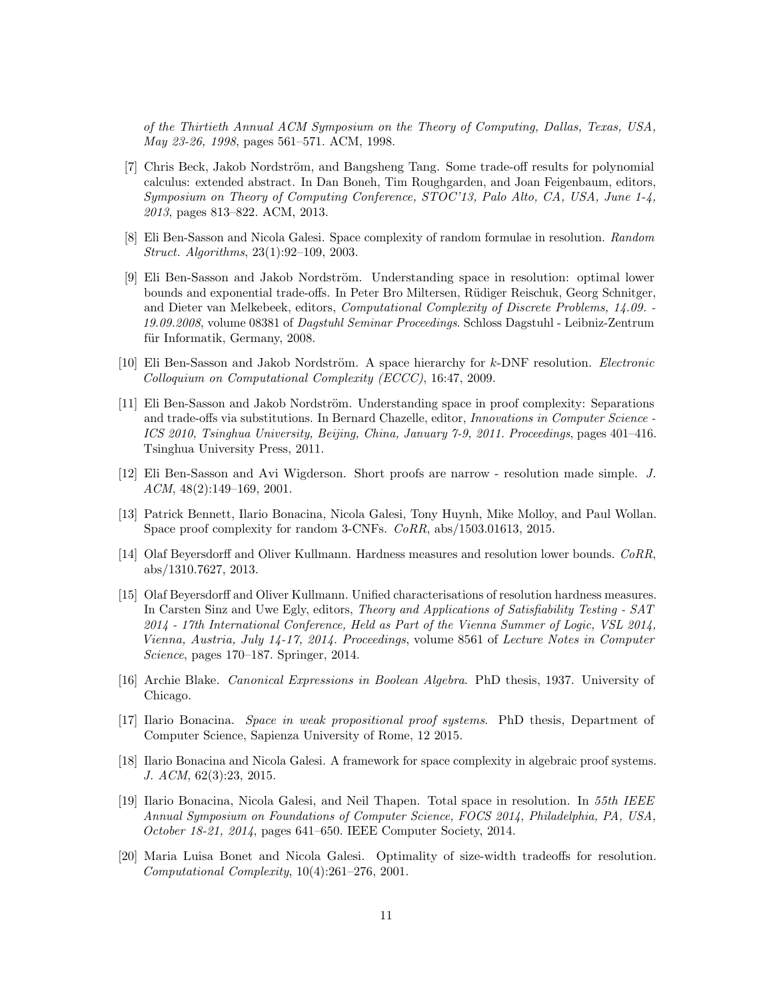of the Thirtieth Annual ACM Symposium on the Theory of Computing, Dallas, Texas, USA, May 23-26, 1998, pages 561–571. ACM, 1998.

- [7] Chris Beck, Jakob Nordström, and Bangsheng Tang. Some trade-off results for polynomial calculus: extended abstract. In Dan Boneh, Tim Roughgarden, and Joan Feigenbaum, editors, Symposium on Theory of Computing Conference, STOC'13, Palo Alto, CA, USA, June 1-4, 2013, pages 813–822. ACM, 2013.
- [8] Eli Ben-Sasson and Nicola Galesi. Space complexity of random formulae in resolution. Random Struct. Algorithms, 23(1):92–109, 2003.
- [9] Eli Ben-Sasson and Jakob Nordström. Understanding space in resolution: optimal lower bounds and exponential trade-offs. In Peter Bro Miltersen, R¨udiger Reischuk, Georg Schnitger, and Dieter van Melkebeek, editors, Computational Complexity of Discrete Problems, 14.09. - 19.09.2008, volume 08381 of Dagstuhl Seminar Proceedings. Schloss Dagstuhl - Leibniz-Zentrum für Informatik, Germany, 2008.
- [10] Eli Ben-Sasson and Jakob Nordström. A space hierarchy for k-DNF resolution. *Electronic* Colloquium on Computational Complexity (ECCC), 16:47, 2009.
- [11] Eli Ben-Sasson and Jakob Nordström. Understanding space in proof complexity: Separations and trade-offs via substitutions. In Bernard Chazelle, editor, Innovations in Computer Science - ICS 2010, Tsinghua University, Beijing, China, January 7-9, 2011. Proceedings, pages 401–416. Tsinghua University Press, 2011.
- [12] Eli Ben-Sasson and Avi Wigderson. Short proofs are narrow resolution made simple. J.  $ACM$ ,  $48(2):149-169$ ,  $2001$ .
- [13] Patrick Bennett, Ilario Bonacina, Nicola Galesi, Tony Huynh, Mike Molloy, and Paul Wollan. Space proof complexity for random 3-CNFs. CoRR, abs/1503.01613, 2015.
- [14] Olaf Beyersdorff and Oliver Kullmann. Hardness measures and resolution lower bounds. CoRR, abs/1310.7627, 2013.
- [15] Olaf Beyersdorff and Oliver Kullmann. Unified characterisations of resolution hardness measures. In Carsten Sinz and Uwe Egly, editors, Theory and Applications of Satisfiability Testing - SAT 2014 - 17th International Conference, Held as Part of the Vienna Summer of Logic, VSL 2014, Vienna, Austria, July 14-17, 2014. Proceedings, volume 8561 of Lecture Notes in Computer Science, pages 170–187. Springer, 2014.
- [16] Archie Blake. Canonical Expressions in Boolean Algebra. PhD thesis, 1937. University of Chicago.
- [17] Ilario Bonacina. Space in weak propositional proof systems. PhD thesis, Department of Computer Science, Sapienza University of Rome, 12 2015.
- [18] Ilario Bonacina and Nicola Galesi. A framework for space complexity in algebraic proof systems. J. ACM, 62(3):23, 2015.
- [19] Ilario Bonacina, Nicola Galesi, and Neil Thapen. Total space in resolution. In 55th IEEE Annual Symposium on Foundations of Computer Science, FOCS 2014, Philadelphia, PA, USA, October 18-21, 2014, pages 641–650. IEEE Computer Society, 2014.
- [20] Maria Luisa Bonet and Nicola Galesi. Optimality of size-width tradeoffs for resolution. Computational Complexity, 10(4):261–276, 2001.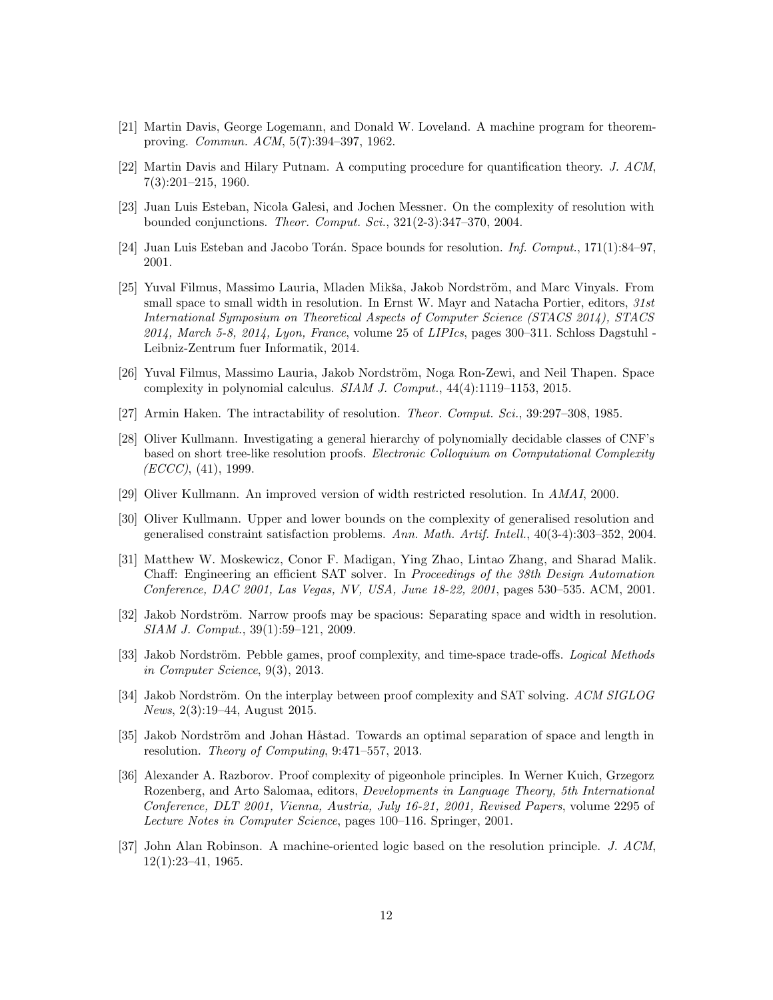- [21] Martin Davis, George Logemann, and Donald W. Loveland. A machine program for theoremproving. Commun. ACM, 5(7):394–397, 1962.
- [22] Martin Davis and Hilary Putnam. A computing procedure for quantification theory. J. ACM, 7(3):201–215, 1960.
- [23] Juan Luis Esteban, Nicola Galesi, and Jochen Messner. On the complexity of resolution with bounded conjunctions. Theor. Comput. Sci., 321(2-3):347–370, 2004.
- [24] Juan Luis Esteban and Jacobo Torán. Space bounds for resolution. Inf. Comput.,  $171(1):84-97$ , 2001.
- [25] Yuval Filmus, Massimo Lauria, Mladen Mikša, Jakob Nordström, and Marc Vinyals. From small space to small width in resolution. In Ernst W. Mayr and Natacha Portier, editors, 31st International Symposium on Theoretical Aspects of Computer Science (STACS 2014), STACS  $2014$ , March 5-8,  $2014$ , Lyon, France, volume 25 of LIPIcs, pages 300–311. Schloss Dagstuhl -Leibniz-Zentrum fuer Informatik, 2014.
- [26] Yuval Filmus, Massimo Lauria, Jakob Nordström, Noga Ron-Zewi, and Neil Thapen. Space complexity in polynomial calculus. SIAM J. Comput., 44(4):1119–1153, 2015.
- [27] Armin Haken. The intractability of resolution. Theor. Comput. Sci., 39:297–308, 1985.
- [28] Oliver Kullmann. Investigating a general hierarchy of polynomially decidable classes of CNF's based on short tree-like resolution proofs. Electronic Colloquium on Computational Complexity  $(ECCC), (41), 1999.$
- [29] Oliver Kullmann. An improved version of width restricted resolution. In AMAI, 2000.
- [30] Oliver Kullmann. Upper and lower bounds on the complexity of generalised resolution and generalised constraint satisfaction problems. Ann. Math. Artif. Intell., 40(3-4):303–352, 2004.
- [31] Matthew W. Moskewicz, Conor F. Madigan, Ying Zhao, Lintao Zhang, and Sharad Malik. Chaff: Engineering an efficient SAT solver. In Proceedings of the 38th Design Automation Conference, DAC 2001, Las Vegas, NV, USA, June 18-22, 2001, pages 530–535. ACM, 2001.
- [32] Jakob Nordström. Narrow proofs may be spacious: Separating space and width in resolution. SIAM J. Comput., 39(1):59–121, 2009.
- [33] Jakob Nordström. Pebble games, proof complexity, and time-space trade-offs. *Logical Methods* in Computer Science, 9(3), 2013.
- [34] Jakob Nordström. On the interplay between proof complexity and SAT solving. ACM SIGLOG News, 2(3):19–44, August 2015.
- [35] Jakob Nordström and Johan Håstad. Towards an optimal separation of space and length in resolution. Theory of Computing, 9:471–557, 2013.
- [36] Alexander A. Razborov. Proof complexity of pigeonhole principles. In Werner Kuich, Grzegorz Rozenberg, and Arto Salomaa, editors, Developments in Language Theory, 5th International Conference, DLT 2001, Vienna, Austria, July 16-21, 2001, Revised Papers, volume 2295 of Lecture Notes in Computer Science, pages 100–116. Springer, 2001.
- [37] John Alan Robinson. A machine-oriented logic based on the resolution principle. J. ACM, 12(1):23–41, 1965.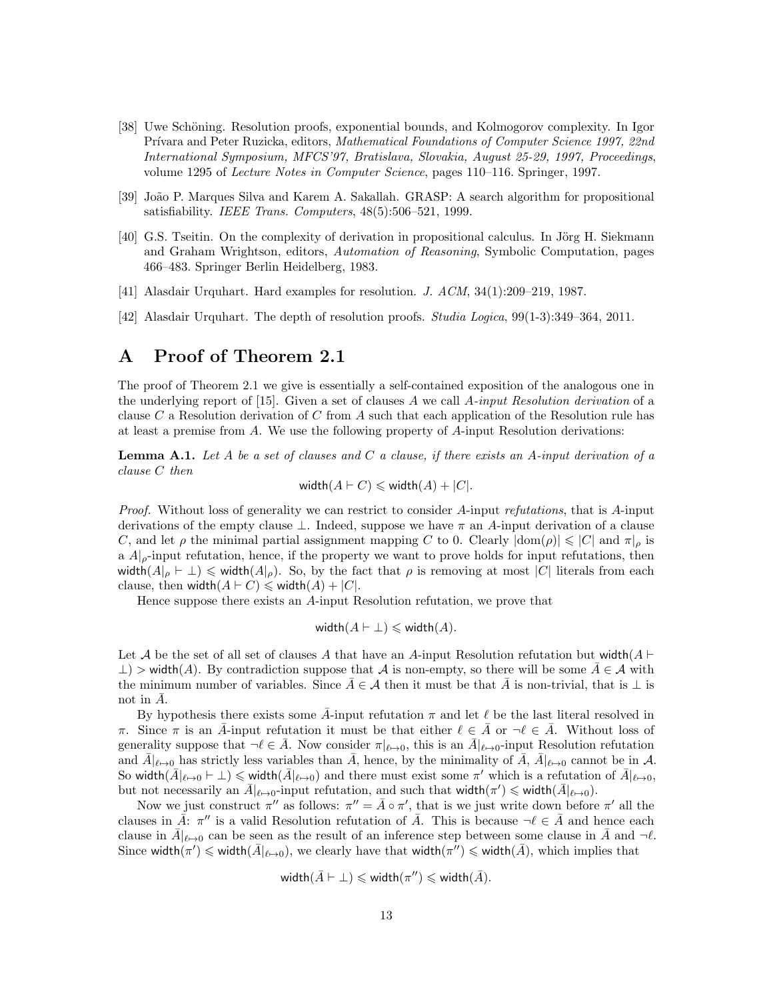- [38] Uwe Schöning. Resolution proofs, exponential bounds, and Kolmogorov complexity. In Igor Prívara and Peter Ruzicka, editors, Mathematical Foundations of Computer Science 1997, 22nd International Symposium, MFCS'97, Bratislava, Slovakia, August 25-29, 1997, Proceedings, volume 1295 of Lecture Notes in Computer Science, pages 110–116. Springer, 1997.
- [39] Jo˜ao P. Marques Silva and Karem A. Sakallah. GRASP: A search algorithm for propositional satisfiability. IEEE Trans. Computers, 48(5):506–521, 1999.
- [40] G.S. Tseitin. On the complexity of derivation in propositional calculus. In Jörg H. Siekmann and Graham Wrightson, editors, Automation of Reasoning, Symbolic Computation, pages 466–483. Springer Berlin Heidelberg, 1983.
- [41] Alasdair Urquhart. Hard examples for resolution. J. ACM, 34(1):209–219, 1987.
- [42] Alasdair Urquhart. The depth of resolution proofs. Studia Logica, 99(1-3):349–364, 2011.

## A Proof of Theorem 2.1

The proof of Theorem 2.1 we give is essentially a self-contained exposition of the analogous one in the underlying report of  $[15]$ . Given a set of clauses A we call A-input Resolution derivation of a clause C a Resolution derivation of C from A such that each application of the Resolution rule has at least a premise from  $A$ . We use the following property of  $A$ -input Resolution derivations:

**Lemma A.1.** Let A be a set of clauses and C a clause, if there exists an A-input derivation of a clause C then

$$
\text{width}(A \vdash C) \leqslant \text{width}(A) + |C|.
$$

Proof. Without loss of generality we can restrict to consider A-input refutations, that is A-input derivations of the empty clause  $\perp$ . Indeed, suppose we have  $\pi$  an A-input derivation of a clause C, and let  $\rho$  the minimal partial assignment mapping C to 0. Clearly  $|\text{dom}(\rho)| \leq C |\text{ord } \pi|_{\rho}$  is a  $A|_{\rho}$ -input refutation, hence, if the property we want to prove holds for input refutations, then width $(A|_{\rho} \vdash \bot) \leq \text{width}(A|_{\rho})$ . So, by the fact that  $\rho$  is removing at most |C| literals from each clause, then width $(A \vdash C) \leq \text{width}(A) + |C|$ .

Hence suppose there exists an A-input Resolution refutation, we prove that

$$
\text{width}(A \vdash \bot) \leqslant \text{width}(A).
$$

Let A be the set of all set of clauses A that have an A-input Resolution refutation but width( $A \vdash$  $\perp$ ) > width(A). By contradiction suppose that A is non-empty, so there will be some  $A \in \mathcal{A}$  with the minimum number of variables. Since  $A \in \mathcal{A}$  then it must be that A is non-trivial, that is ⊥ is not in  $\bar{A}$ .

By hypothesis there exists some  $\bar{A}$ -input refutation  $\pi$  and let  $\ell$  be the last literal resolved in π. Since  $\pi$  is an  $\bar{A}$ -input refutation it must be that either  $\ell \in \bar{A}$  or  $\neg \ell \in \bar{A}$ . Without loss of generality suppose that  $\neg \ell \in \overline{A}$ . Now consider  $\pi|_{\ell \mapsto 0}$ , this is an  $\overline{A}|_{\ell \mapsto 0}$ -input Resolution refutation and  $\bar{A}|_{\ell\to 0}$  has strictly less variables than  $\bar{A}$ , hence, by the minimality of  $\bar{A}$ ,  $\bar{A}|_{\ell\to 0}$  cannot be in A. So width $(\bar{A}|_{\ell \to 0} \vdash \bot) \leq$  width $(\bar{A}|_{\ell \to 0})$  and there must exist some  $\pi'$  which is a refutation of  $\bar{A}|_{\ell \to 0}$ , but not necessarily an  $\bar{A}|_{\ell \to 0}$ -input refutation, and such that width $(\pi') \leq \text{width}(\bar{A}|_{\ell \to 0})$ .

Now we just construct  $\pi''$  as follows:  $\pi'' = \bar{A} \circ \pi'$ , that is we just write down before  $\pi'$  all the clauses in  $\vec{A}$ :  $\pi''$  is a valid Resolution refutation of  $\vec{A}$ . This is because  $\neg \ell \in \vec{A}$  and hence each clause in  $\bar{A}|_{\ell \to 0}$  can be seen as the result of an inference step between some clause in  $\bar{A}$  and  $\neg \ell$ . Since width $(\pi') \leqslant$  width $(\bar{A}|_{\ell \mapsto 0})$ , we clearly have that width $(\pi'') \leqslant$  width $(\bar{A})$ , which implies that

$$
\textsf{width}(\bar{A} \vdash \bot) \leqslant \textsf{width}(\pi'') \leqslant \textsf{width}(\bar{A}).
$$